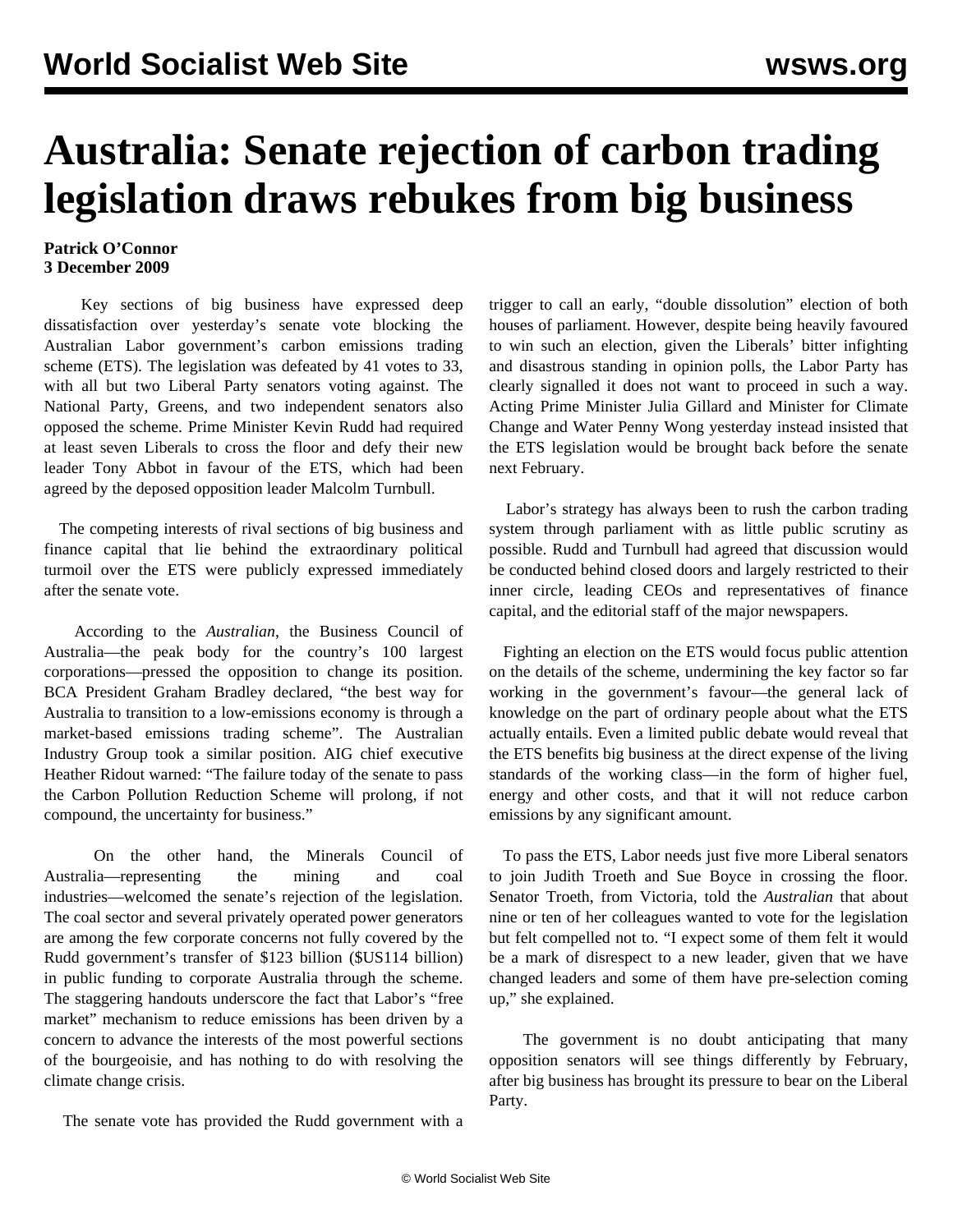## **Australia: Senate rejection of carbon trading legislation draws rebukes from big business**

## **Patrick O'Connor 3 December 2009**

 Key sections of big business have expressed deep dissatisfaction over yesterday's senate vote blocking the Australian Labor government's carbon emissions trading scheme (ETS). The legislation was defeated by 41 votes to 33, with all but two Liberal Party senators voting against. The National Party, Greens, and two independent senators also opposed the scheme. Prime Minister Kevin Rudd had required at least seven Liberals to cross the floor and defy their new leader Tony Abbot in favour of the ETS, which had been agreed by the deposed opposition leader Malcolm Turnbull.

 The competing interests of rival sections of big business and finance capital that lie behind the extraordinary political turmoil over the ETS were publicly expressed immediately after the senate vote.

 According to the *Australian*, the Business Council of Australia—the peak body for the country's 100 largest corporations—pressed the opposition to change its position. BCA President Graham Bradley declared, "the best way for Australia to transition to a low-emissions economy is through a market-based emissions trading scheme". The Australian Industry Group took a similar position. AIG chief executive Heather Ridout warned: "The failure today of the senate to pass the Carbon Pollution Reduction Scheme will prolong, if not compound, the uncertainty for business."

 On the other hand, the Minerals Council of Australia—representing the mining and coal industries—welcomed the senate's rejection of the legislation. The coal sector and several privately operated power generators are among the few corporate concerns not fully covered by the Rudd government's transfer of \$123 billion (\$US114 billion) in public funding to corporate Australia through the scheme. The staggering handouts underscore the fact that Labor's "free market" mechanism to reduce emissions has been driven by a concern to advance the interests of the most powerful sections of the bourgeoisie, and has nothing to do with resolving the climate change crisis.

The senate vote has provided the Rudd government with a

trigger to call an early, "double dissolution" election of both houses of parliament. However, despite being heavily favoured to win such an election, given the Liberals' bitter infighting and disastrous standing in opinion polls, the Labor Party has clearly signalled it does not want to proceed in such a way. Acting Prime Minister Julia Gillard and Minister for Climate Change and Water Penny Wong yesterday instead insisted that the ETS legislation would be brought back before the senate next February.

 Labor's strategy has always been to rush the carbon trading system through parliament with as little public scrutiny as possible. Rudd and Turnbull had agreed that discussion would be conducted behind closed doors and largely restricted to their inner circle, leading CEOs and representatives of finance capital, and the editorial staff of the major newspapers.

 Fighting an election on the ETS would focus public attention on the details of the scheme, undermining the key factor so far working in the government's favour—the general lack of knowledge on the part of ordinary people about what the ETS actually entails. Even a limited public debate would reveal that the ETS benefits big business at the direct expense of the living standards of the working class—in the form of higher fuel, energy and other costs, and that it will not reduce carbon emissions by any significant amount.

 To pass the ETS, Labor needs just five more Liberal senators to join Judith Troeth and Sue Boyce in crossing the floor. Senator Troeth, from Victoria, told the *Australian* that about nine or ten of her colleagues wanted to vote for the legislation but felt compelled not to. "I expect some of them felt it would be a mark of disrespect to a new leader, given that we have changed leaders and some of them have pre-selection coming up," she explained.

 The government is no doubt anticipating that many opposition senators will see things differently by February, after big business has brought its pressure to bear on the Liberal Party.